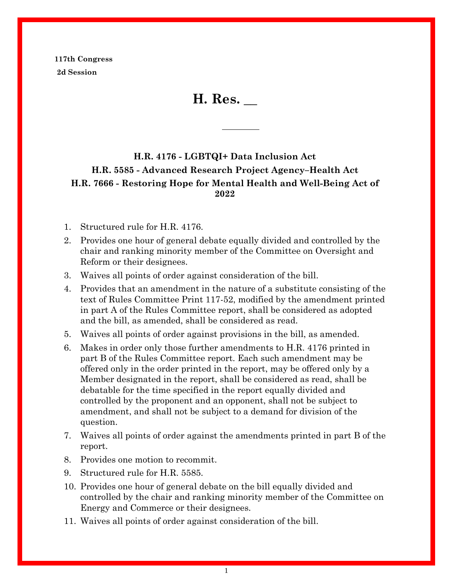**117th Congress 2d Session**

**H. Res. \_\_**

# **H.R. 4176 - LGBTQI+ Data Inclusion Act H.R. 5585 - Advanced Research Project Agency–Health Act H.R. 7666 - Restoring Hope for Mental Health and Well-Being Act of 2022**

- 1. Structured rule for H.R. 4176.
- 2. Provides one hour of general debate equally divided and controlled by the chair and ranking minority member of the Committee on Oversight and Reform or their designees.
- 3. Waives all points of order against consideration of the bill.
- 4. Provides that an amendment in the nature of a substitute consisting of the text of Rules Committee Print 117-52, modified by the amendment printed in part A of the Rules Committee report, shall be considered as adopted and the bill, as amended, shall be considered as read.
- 5. Waives all points of order against provisions in the bill, as amended.
- 6. Makes in order only those further amendments to H.R. 4176 printed in part B of the Rules Committee report. Each such amendment may be offered only in the order printed in the report, may be offered only by a Member designated in the report, shall be considered as read, shall be debatable for the time specified in the report equally divided and controlled by the proponent and an opponent, shall not be subject to amendment, and shall not be subject to a demand for division of the question.
- 7. Waives all points of order against the amendments printed in part B of the report.
- 8. Provides one motion to recommit.
- 9. Structured rule for H.R. 5585.
- 10. Provides one hour of general debate on the bill equally divided and controlled by the chair and ranking minority member of the Committee on Energy and Commerce or their designees.
- 11. Waives all points of order against consideration of the bill.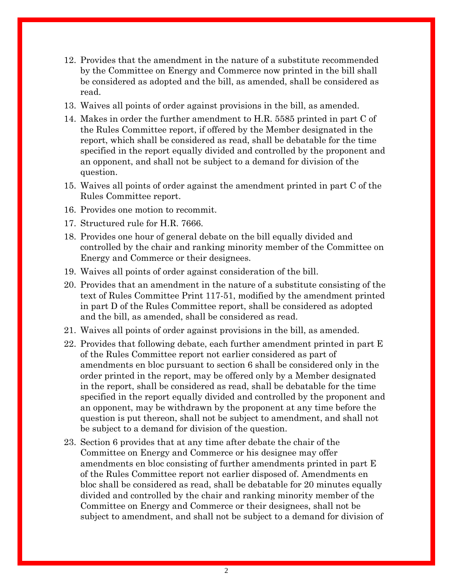- 12. Provides that the amendment in the nature of a substitute recommended by the Committee on Energy and Commerce now printed in the bill shall be considered as adopted and the bill, as amended, shall be considered as read.
- 13. Waives all points of order against provisions in the bill, as amended.
- 14. Makes in order the further amendment to H.R. 5585 printed in part C of the Rules Committee report, if offered by the Member designated in the report, which shall be considered as read, shall be debatable for the time specified in the report equally divided and controlled by the proponent and an opponent, and shall not be subject to a demand for division of the question.
- 15. Waives all points of order against the amendment printed in part C of the Rules Committee report.
- 16. Provides one motion to recommit.
- 17. Structured rule for H.R. 7666.
- 18. Provides one hour of general debate on the bill equally divided and controlled by the chair and ranking minority member of the Committee on Energy and Commerce or their designees.
- 19. Waives all points of order against consideration of the bill.
- 20. Provides that an amendment in the nature of a substitute consisting of the text of Rules Committee Print 117-51, modified by the amendment printed in part D of the Rules Committee report, shall be considered as adopted and the bill, as amended, shall be considered as read.
- 21. Waives all points of order against provisions in the bill, as amended.
- 22. Provides that following debate, each further amendment printed in part E of the Rules Committee report not earlier considered as part of amendments en bloc pursuant to section 6 shall be considered only in the order printed in the report, may be offered only by a Member designated in the report, shall be considered as read, shall be debatable for the time specified in the report equally divided and controlled by the proponent and an opponent, may be withdrawn by the proponent at any time before the question is put thereon, shall not be subject to amendment, and shall not be subject to a demand for division of the question.
- 23. Section 6 provides that at any time after debate the chair of the Committee on Energy and Commerce or his designee may offer amendments en bloc consisting of further amendments printed in part E of the Rules Committee report not earlier disposed of. Amendments en bloc shall be considered as read, shall be debatable for 20 minutes equally divided and controlled by the chair and ranking minority member of the Committee on Energy and Commerce or their designees, shall not be subject to amendment, and shall not be subject to a demand for division of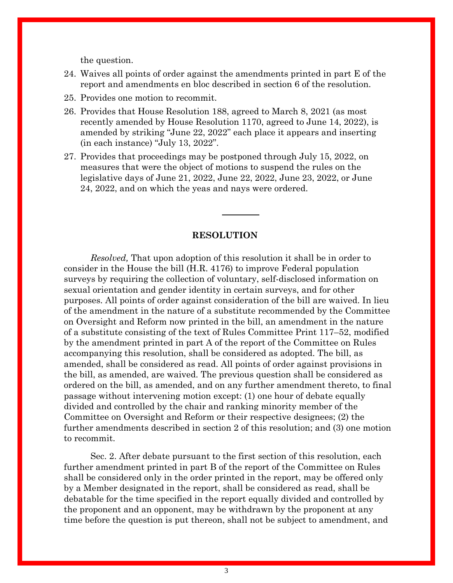the question.

- 24. Waives all points of order against the amendments printed in part E of the report and amendments en bloc described in section 6 of the resolution.
- 25. Provides one motion to recommit.
- 26. Provides that House Resolution 188, agreed to March 8, 2021 (as most recently amended by House Resolution 1170, agreed to June 14, 2022), is amended by striking "June 22, 2022" each place it appears and inserting (in each instance) "July 13, 2022".
- 27. Provides that proceedings may be postponed through July 15, 2022, on measures that were the object of motions to suspend the rules on the legislative days of June 21, 2022, June 22, 2022, June 23, 2022, or June 24, 2022, and on which the yeas and nays were ordered.

#### **RESOLUTION**

*Resolved,* That upon adoption of this resolution it shall be in order to consider in the House the bill (H.R. 4176) to improve Federal population surveys by requiring the collection of voluntary, self-disclosed information on sexual orientation and gender identity in certain surveys, and for other purposes. All points of order against consideration of the bill are waived. In lieu of the amendment in the nature of a substitute recommended by the Committee on Oversight and Reform now printed in the bill, an amendment in the nature of a substitute consisting of the text of Rules Committee Print 117–52, modified by the amendment printed in part A of the report of the Committee on Rules accompanying this resolution, shall be considered as adopted. The bill, as amended, shall be considered as read. All points of order against provisions in the bill, as amended, are waived. The previous question shall be considered as ordered on the bill, as amended, and on any further amendment thereto, to final passage without intervening motion except: (1) one hour of debate equally divided and controlled by the chair and ranking minority member of the Committee on Oversight and Reform or their respective designees; (2) the further amendments described in section 2 of this resolution; and (3) one motion to recommit.

Sec. 2. After debate pursuant to the first section of this resolution, each further amendment printed in part B of the report of the Committee on Rules shall be considered only in the order printed in the report, may be offered only by a Member designated in the report, shall be considered as read, shall be debatable for the time specified in the report equally divided and controlled by the proponent and an opponent, may be withdrawn by the proponent at any time before the question is put thereon, shall not be subject to amendment, and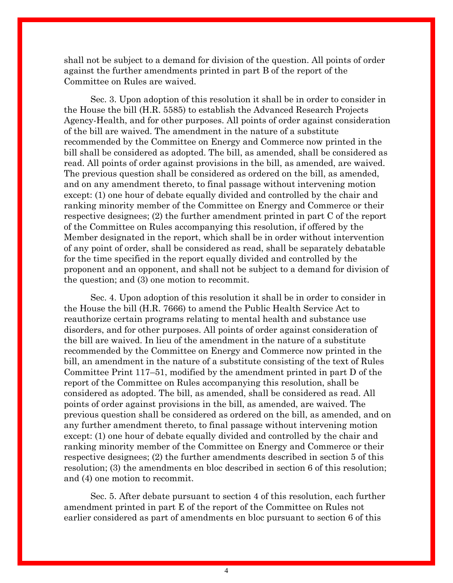shall not be subject to a demand for division of the question. All points of order against the further amendments printed in part B of the report of the Committee on Rules are waived.

Sec. 3. Upon adoption of this resolution it shall be in order to consider in the House the bill (H.R. 5585) to establish the Advanced Research Projects Agency-Health, and for other purposes. All points of order against consideration of the bill are waived. The amendment in the nature of a substitute recommended by the Committee on Energy and Commerce now printed in the bill shall be considered as adopted. The bill, as amended, shall be considered as read. All points of order against provisions in the bill, as amended, are waived. The previous question shall be considered as ordered on the bill, as amended, and on any amendment thereto, to final passage without intervening motion except: (1) one hour of debate equally divided and controlled by the chair and ranking minority member of the Committee on Energy and Commerce or their respective designees; (2) the further amendment printed in part C of the report of the Committee on Rules accompanying this resolution, if offered by the Member designated in the report, which shall be in order without intervention of any point of order, shall be considered as read, shall be separately debatable for the time specified in the report equally divided and controlled by the proponent and an opponent, and shall not be subject to a demand for division of the question; and (3) one motion to recommit.

Sec. 4. Upon adoption of this resolution it shall be in order to consider in the House the bill (H.R. 7666) to amend the Public Health Service Act to reauthorize certain programs relating to mental health and substance use disorders, and for other purposes. All points of order against consideration of the bill are waived. In lieu of the amendment in the nature of a substitute recommended by the Committee on Energy and Commerce now printed in the bill, an amendment in the nature of a substitute consisting of the text of Rules Committee Print 117–51, modified by the amendment printed in part D of the report of the Committee on Rules accompanying this resolution, shall be considered as adopted. The bill, as amended, shall be considered as read. All points of order against provisions in the bill, as amended, are waived. The previous question shall be considered as ordered on the bill, as amended, and on any further amendment thereto, to final passage without intervening motion except: (1) one hour of debate equally divided and controlled by the chair and ranking minority member of the Committee on Energy and Commerce or their respective designees; (2) the further amendments described in section 5 of this resolution; (3) the amendments en bloc described in section 6 of this resolution; and (4) one motion to recommit.

Sec. 5. After debate pursuant to section 4 of this resolution, each further amendment printed in part E of the report of the Committee on Rules not earlier considered as part of amendments en bloc pursuant to section 6 of this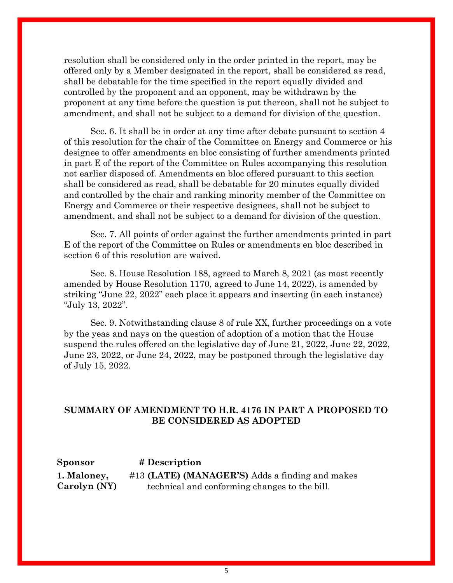resolution shall be considered only in the order printed in the report, may be offered only by a Member designated in the report, shall be considered as read, shall be debatable for the time specified in the report equally divided and controlled by the proponent and an opponent, may be withdrawn by the proponent at any time before the question is put thereon, shall not be subject to amendment, and shall not be subject to a demand for division of the question.

Sec. 6. It shall be in order at any time after debate pursuant to section 4 of this resolution for the chair of the Committee on Energy and Commerce or his designee to offer amendments en bloc consisting of further amendments printed in part E of the report of the Committee on Rules accompanying this resolution not earlier disposed of. Amendments en bloc offered pursuant to this section shall be considered as read, shall be debatable for 20 minutes equally divided and controlled by the chair and ranking minority member of the Committee on Energy and Commerce or their respective designees, shall not be subject to amendment, and shall not be subject to a demand for division of the question.

Sec. 7. All points of order against the further amendments printed in part E of the report of the Committee on Rules or amendments en bloc described in section 6 of this resolution are waived.

Sec. 8. House Resolution 188, agreed to March 8, 2021 (as most recently amended by House Resolution 1170, agreed to June 14, 2022), is amended by striking "June 22, 2022" each place it appears and inserting (in each instance) "July 13, 2022".

Sec. 9. Notwithstanding clause 8 of rule XX, further proceedings on a vote by the yeas and nays on the question of adoption of a motion that the House suspend the rules offered on the legislative day of June 21, 2022, June 22, 2022, June 23, 2022, or June 24, 2022, may be postponed through the legislative day of July 15, 2022.

## **SUMMARY OF AMENDMENT TO H.R. 4176 IN PART A PROPOSED TO BE CONSIDERED AS ADOPTED**

#### **Sponsor # Description**

**[1. Maloney,](https://amendments-rules.house.gov/amendments/MA%20for%204176220617090906313.pdf)  [Carolyn \(NY\)](https://amendments-rules.house.gov/amendments/MA%20for%204176220617090906313.pdf)**

#13 **(LATE) (MANAGER'S)** Adds a finding and makes technical and conforming changes to the bill.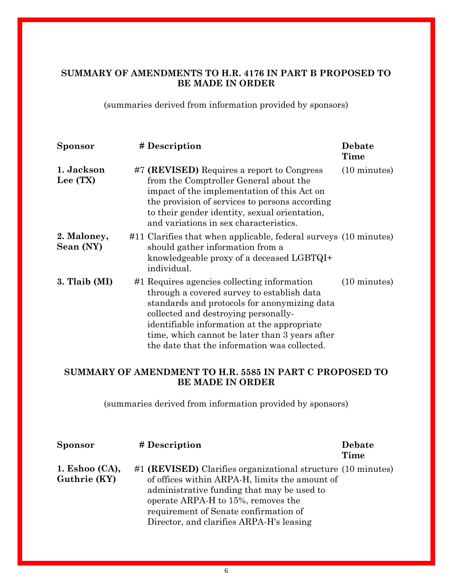# **SUMMARY OF AMENDMENTS TO H.R. 4176 IN PART B PROPOSED TO BE MADE IN ORDER**

(summaries derived from information provided by sponsors)

| Sponsor                  | # Description                                                                                                                                                                                                                                                                                                                      | <b>Debate</b><br>Time  |
|--------------------------|------------------------------------------------------------------------------------------------------------------------------------------------------------------------------------------------------------------------------------------------------------------------------------------------------------------------------------|------------------------|
| 1. Jackson<br>Lee (TX)   | #7 (REVISED) Requires a report to Congress<br>from the Comptroller General about the<br>impact of the implementation of this Act on<br>the provision of services to persons according<br>to their gender identity, sexual orientation,<br>and variations in sex characteristics.                                                   | $(10 \text{ minutes})$ |
| 2. Maloney,<br>Sean (NY) | #11 Clarifies that when applicable, federal surveys (10 minutes)<br>should gather information from a<br>knowledgeable proxy of a deceased LGBTQI+<br>individual.                                                                                                                                                                   |                        |
| 3. Tlaib (MI)            | #1 Requires agencies collecting information<br>through a covered survey to establish data<br>standards and protocols for anonymizing data<br>collected and destroying personally-<br>identifiable information at the appropriate<br>time, which cannot be later than 3 years after<br>the date that the information was collected. | $(10 \text{ minutes})$ |

# **SUMMARY OF AMENDMENT TO H.R. 5585 IN PART C PROPOSED TO BE MADE IN ORDER**

(summaries derived from information provided by sponsors)

| <b>Sponsor</b>                    | # Description                                                                                                                                                                                                                                                                           | Debate<br>Time |
|-----------------------------------|-----------------------------------------------------------------------------------------------------------------------------------------------------------------------------------------------------------------------------------------------------------------------------------------|----------------|
| 1. Eshoo $(CA)$ ,<br>Guthrie (KY) | #1 (REVISED) Clarifies organizational structure (10 minutes)<br>of offices within ARPA-H, limits the amount of<br>administrative funding that may be used to<br>operate ARPA-H to 15%, removes the<br>requirement of Senate confirmation of<br>Director, and clarifies ARPA-H's leasing |                |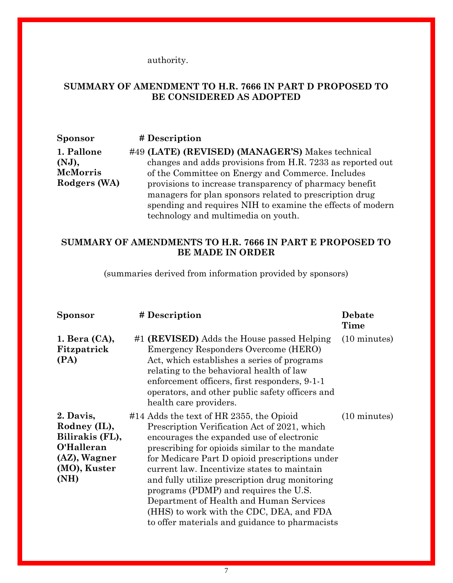authority.

## **SUMMARY OF AMENDMENT TO H.R. 7666 IN PART D PROPOSED TO BE CONSIDERED AS ADOPTED**

**Sponsor # Description [1. Pallone](https://amendments-rules.house.gov/amendments/h7666-fld-managers_03_xml%20(002)220621134436378.pdf)  [\(NJ\),](https://amendments-rules.house.gov/amendments/h7666-fld-managers_03_xml%20(002)220621134436378.pdf)  [McMorris](https://amendments-rules.house.gov/amendments/h7666-fld-managers_03_xml%20(002)220621134436378.pdf)  [Rodgers \(WA\)](https://amendments-rules.house.gov/amendments/h7666-fld-managers_03_xml%20(002)220621134436378.pdf)** #49 **(LATE) (REVISED) (MANAGER'S)** Makes technical changes and adds provisions from H.R. 7233 as reported out of the Committee on Energy and Commerce. Includes provisions to increase transparency of pharmacy benefit managers for plan sponsors related to prescription drug spending and requires NIH to examine the effects of modern technology and multimedia on youth.

### **SUMMARY OF AMENDMENTS TO H.R. 7666 IN PART E PROPOSED TO BE MADE IN ORDER**

(summaries derived from information provided by sponsors)

| <b>Sponsor</b>                                                                                     | # Description                                                                                                                                                                                                                                                                                                                                                                                                                                                                                                                | <b>Debate</b><br>Time  |
|----------------------------------------------------------------------------------------------------|------------------------------------------------------------------------------------------------------------------------------------------------------------------------------------------------------------------------------------------------------------------------------------------------------------------------------------------------------------------------------------------------------------------------------------------------------------------------------------------------------------------------------|------------------------|
| $1.$ Bera $(CA)$ ,<br>Fitzpatrick<br>(PA)                                                          | #1 (REVISED) Adds the House passed Helping<br>Emergency Responders Overcome (HERO)<br>Act, which establishes a series of programs<br>relating to the behavioral health of law<br>enforcement officers, first responders, 9-1-1<br>operators, and other public safety officers and<br>health care providers.                                                                                                                                                                                                                  | $(10 \text{ minutes})$ |
| 2. Davis,<br>Rodney (IL),<br>Bilirakis (FL),<br>O'Halleran<br>(AZ), Wagner<br>(MO), Kuster<br>(NH) | #14 Adds the text of HR 2355, the Opioid<br>Prescription Verification Act of 2021, which<br>encourages the expanded use of electronic<br>prescribing for opioids similar to the mandate<br>for Medicare Part D opioid prescriptions under<br>current law. Incentivize states to maintain<br>and fully utilize prescription drug monitoring<br>programs (PDMP) and requires the U.S.<br>Department of Health and Human Services<br>(HHS) to work with the CDC, DEA, and FDA<br>to offer materials and guidance to pharmacists | $(10 \text{ minutes})$ |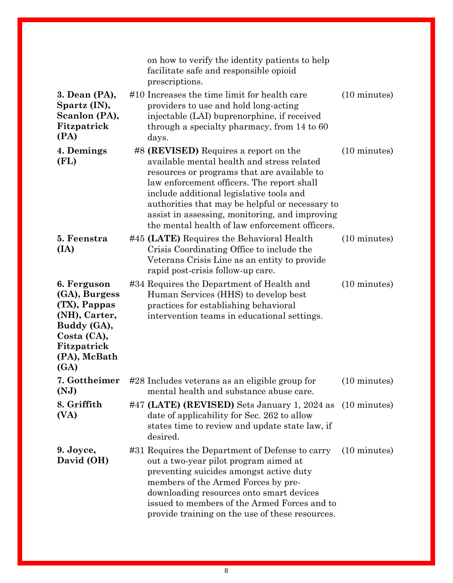|                                                                                                                                    | on how to verify the identity patients to help<br>facilitate safe and responsible opioid<br>prescriptions.                                                                                                                                                                                                                                                                          |                        |
|------------------------------------------------------------------------------------------------------------------------------------|-------------------------------------------------------------------------------------------------------------------------------------------------------------------------------------------------------------------------------------------------------------------------------------------------------------------------------------------------------------------------------------|------------------------|
| 3. Dean (PA),<br>Spartz (IN),<br>Scanlon (PA),<br>Fitzpatrick<br>(PA)                                                              | #10 Increases the time limit for health care<br>providers to use and hold long-acting<br>injectable (LAI) buprenorphine, if received<br>through a specialty pharmacy, from 14 to 60<br>days.                                                                                                                                                                                        | $(10 \text{ minutes})$ |
| 4. Demings<br>(FL)                                                                                                                 | #8 (REVISED) Requires a report on the<br>available mental health and stress related<br>resources or programs that are available to<br>law enforcement officers. The report shall<br>include additional legislative tools and<br>authorities that may be helpful or necessary to<br>assist in assessing, monitoring, and improving<br>the mental health of law enforcement officers. | $(10 \text{ minutes})$ |
| 5. Feenstra<br>(IA)                                                                                                                | #45 (LATE) Requires the Behavioral Health<br>Crisis Coordinating Office to include the<br>Veterans Crisis Line as an entity to provide<br>rapid post-crisis follow-up care.                                                                                                                                                                                                         | $(10 \text{ minutes})$ |
| 6. Ferguson<br>(GA), Burgess<br>(TX), Pappas<br>(NH), Carter,<br>Buddy (GA),<br>Costa (CA),<br>Fitzpatrick<br>(PA), McBath<br>(GA) | #34 Requires the Department of Health and<br>Human Services (HHS) to develop best<br>practices for establishing behavioral<br>intervention teams in educational settings.                                                                                                                                                                                                           | $(10 \text{ minutes})$ |
| 7. Gottheimer<br>(NJ)                                                                                                              | #28 Includes veterans as an eligible group for<br>mental health and substance abuse care.                                                                                                                                                                                                                                                                                           | $(10 \text{ minutes})$ |
| 8. Griffith<br>(VA)                                                                                                                | #47 (LATE) (REVISED) Sets January 1, 2024 as (10 minutes)<br>date of applicability for Sec. 262 to allow<br>states time to review and update state law, if<br>desired.                                                                                                                                                                                                              |                        |
| 9. Joyce,<br>David (OH)                                                                                                            | #31 Requires the Department of Defense to carry<br>out a two-year pilot program aimed at<br>preventing suicides amongst active duty<br>members of the Armed Forces by pre-<br>downloading resources onto smart devices<br>issued to members of the Armed Forces and to<br>provide training on the use of these resources.                                                           | $(10 \text{ minutes})$ |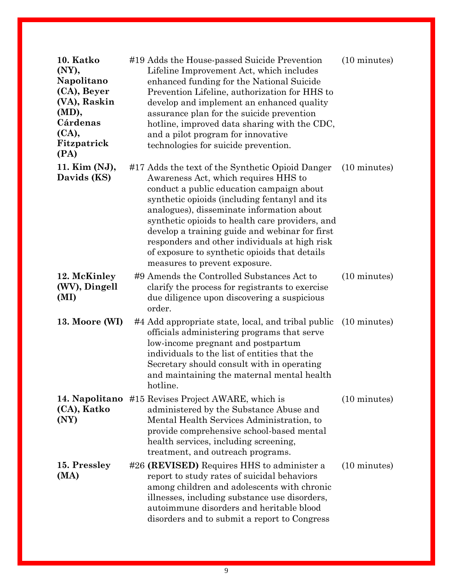| 10. Katko<br>(NY),<br>Napolitano<br>(CA), Beyer<br>(VA), Raskin<br>(MD),<br>Cárdenas<br>(CA),<br>Fitzpatrick<br>(PA) | #19 Adds the House-passed Suicide Prevention<br>Lifeline Improvement Act, which includes<br>enhanced funding for the National Suicide<br>Prevention Lifeline, authorization for HHS to<br>develop and implement an enhanced quality<br>assurance plan for the suicide prevention<br>hotline, improved data sharing with the CDC,<br>and a pilot program for innovative<br>technologies for suicide prevention.                                                              | $(10 \text{ minutes})$ |
|----------------------------------------------------------------------------------------------------------------------|-----------------------------------------------------------------------------------------------------------------------------------------------------------------------------------------------------------------------------------------------------------------------------------------------------------------------------------------------------------------------------------------------------------------------------------------------------------------------------|------------------------|
| 11. Kim (NJ),<br>Davids (KS)                                                                                         | #17 Adds the text of the Synthetic Opioid Danger<br>Awareness Act, which requires HHS to<br>conduct a public education campaign about<br>synthetic opioids (including fentanyl and its<br>analogues), disseminate information about<br>synthetic opioids to health care providers, and<br>develop a training guide and webinar for first<br>responders and other individuals at high risk<br>of exposure to synthetic opioids that details<br>measures to prevent exposure. | $(10 \text{ minutes})$ |
| 12. McKinley<br>(WV), Dingell<br>(MI)                                                                                | #9 Amends the Controlled Substances Act to<br>clarify the process for registrants to exercise<br>due diligence upon discovering a suspicious<br>order.                                                                                                                                                                                                                                                                                                                      | $(10 \text{ minutes})$ |
| 13. Moore (WI)                                                                                                       | #4 Add appropriate state, local, and tribal public<br>officials administering programs that serve<br>low-income pregnant and postpartum<br>individuals to the list of entities that the<br>Secretary should consult with in operating<br>and maintaining the maternal mental health<br>hotline.                                                                                                                                                                             | $(10 \text{ minutes})$ |
| 14. Napolitano<br>(CA), Katko<br>(NY)                                                                                | #15 Revises Project AWARE, which is<br>administered by the Substance Abuse and<br>Mental Health Services Administration, to<br>provide comprehensive school-based mental<br>health services, including screening,<br>treatment, and outreach programs.                                                                                                                                                                                                                      | $(10 \text{ minutes})$ |
| 15. Pressley<br>(MA)                                                                                                 | #26 (REVISED) Requires HHS to administer a<br>report to study rates of suicidal behaviors<br>among children and adolescents with chronic<br>illnesses, including substance use disorders,<br>autoimmune disorders and heritable blood<br>disorders and to submit a report to Congress                                                                                                                                                                                       | $(10 \text{ minutes})$ |